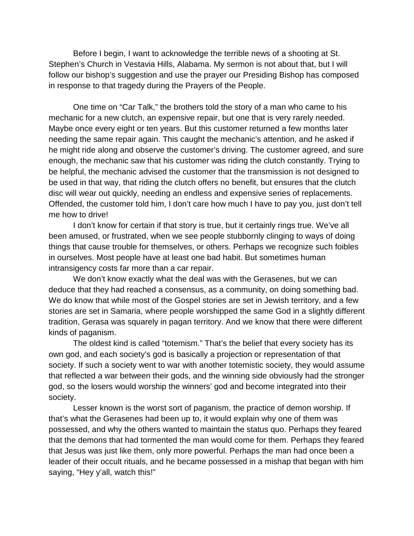Before I begin, I want to acknowledge the terrible news of a shooting at St. Stephen's Church in Vestavia Hills, Alabama. My sermon is not about that, but I will follow our bishop's suggestion and use the prayer our Presiding Bishop has composed in response to that tragedy during the Prayers of the People.

One time on "Car Talk," the brothers told the story of a man who came to his mechanic for a new clutch, an expensive repair, but one that is very rarely needed. Maybe once every eight or ten years. But this customer returned a few months later needing the same repair again. This caught the mechanic's attention, and he asked if he might ride along and observe the customer's driving. The customer agreed, and sure enough, the mechanic saw that his customer was riding the clutch constantly. Trying to be helpful, the mechanic advised the customer that the transmission is not designed to be used in that way, that riding the clutch offers no benefit, but ensures that the clutch disc will wear out quickly, needing an endless and expensive series of replacements. Offended, the customer told him, I don't care how much I have to pay you, just don't tell me how to drive!

I don't know for certain if that story is true, but it certainly rings true. We've all been amused, or frustrated, when we see people stubbornly clinging to ways of doing things that cause trouble for themselves, or others. Perhaps we recognize such foibles in ourselves. Most people have at least one bad habit. But sometimes human intransigency costs far more than a car repair.

We don't know exactly what the deal was with the Gerasenes, but we can deduce that they had reached a consensus, as a community, on doing something bad. We do know that while most of the Gospel stories are set in Jewish territory, and a few stories are set in Samaria, where people worshipped the same God in a slightly different tradition, Gerasa was squarely in pagan territory. And we know that there were different kinds of paganism.

The oldest kind is called "totemism." That's the belief that every society has its own god, and each society's god is basically a projection or representation of that society. If such a society went to war with another totemistic society, they would assume that reflected a war between their gods, and the winning side obviously had the stronger god, so the losers would worship the winners' god and become integrated into their society.

Lesser known is the worst sort of paganism, the practice of demon worship. If that's what the Gerasenes had been up to, it would explain why one of them was possessed, and why the others wanted to maintain the status quo. Perhaps they feared that the demons that had tormented the man would come for them. Perhaps they feared that Jesus was just like them, only more powerful. Perhaps the man had once been a leader of their occult rituals, and he became possessed in a mishap that began with him saying, "Hey y'all, watch this!"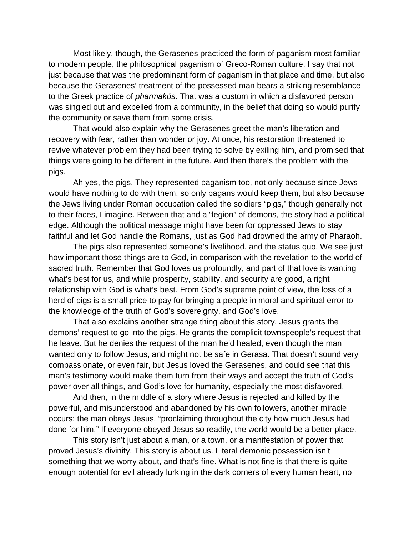Most likely, though, the Gerasenes practiced the form of paganism most familiar to modern people, the philosophical paganism of Greco-Roman culture. I say that not just because that was the predominant form of paganism in that place and time, but also because the Gerasenes' treatment of the possessed man bears a striking resemblance to the Greek practice of *pharmakós*. That was a custom in which a disfavored person was singled out and expelled from a community, in the belief that doing so would purify the community or save them from some crisis.

That would also explain why the Gerasenes greet the man's liberation and recovery with fear, rather than wonder or joy. At once, his restoration threatened to revive whatever problem they had been trying to solve by exiling him, and promised that things were going to be different in the future. And then there's the problem with the pigs.

Ah yes, the pigs. They represented paganism too, not only because since Jews would have nothing to do with them, so only pagans would keep them, but also because the Jews living under Roman occupation called the soldiers "pigs," though generally not to their faces, I imagine. Between that and a "legion" of demons, the story had a political edge. Although the political message might have been for oppressed Jews to stay faithful and let God handle the Romans, just as God had drowned the army of Pharaoh.

The pigs also represented someone's livelihood, and the status quo. We see just how important those things are to God, in comparison with the revelation to the world of sacred truth. Remember that God loves us profoundly, and part of that love is wanting what's best for us, and while prosperity, stability, and security are good, a right relationship with God is what's best. From God's supreme point of view, the loss of a herd of pigs is a small price to pay for bringing a people in moral and spiritual error to the knowledge of the truth of God's sovereignty, and God's love.

That also explains another strange thing about this story. Jesus grants the demons' request to go into the pigs. He grants the complicit townspeople's request that he leave. But he denies the request of the man he'd healed, even though the man wanted only to follow Jesus, and might not be safe in Gerasa. That doesn't sound very compassionate, or even fair, but Jesus loved the Gerasenes, and could see that this man's testimony would make them turn from their ways and accept the truth of God's power over all things, and God's love for humanity, especially the most disfavored.

And then, in the middle of a story where Jesus is rejected and killed by the powerful, and misunderstood and abandoned by his own followers, another miracle occurs: the man obeys Jesus, "proclaiming throughout the city how much Jesus had done for him." If everyone obeyed Jesus so readily, the world would be a better place.

This story isn't just about a man, or a town, or a manifestation of power that proved Jesus's divinity. This story is about us. Literal demonic possession isn't something that we worry about, and that's fine. What is not fine is that there is quite enough potential for evil already lurking in the dark corners of every human heart, no